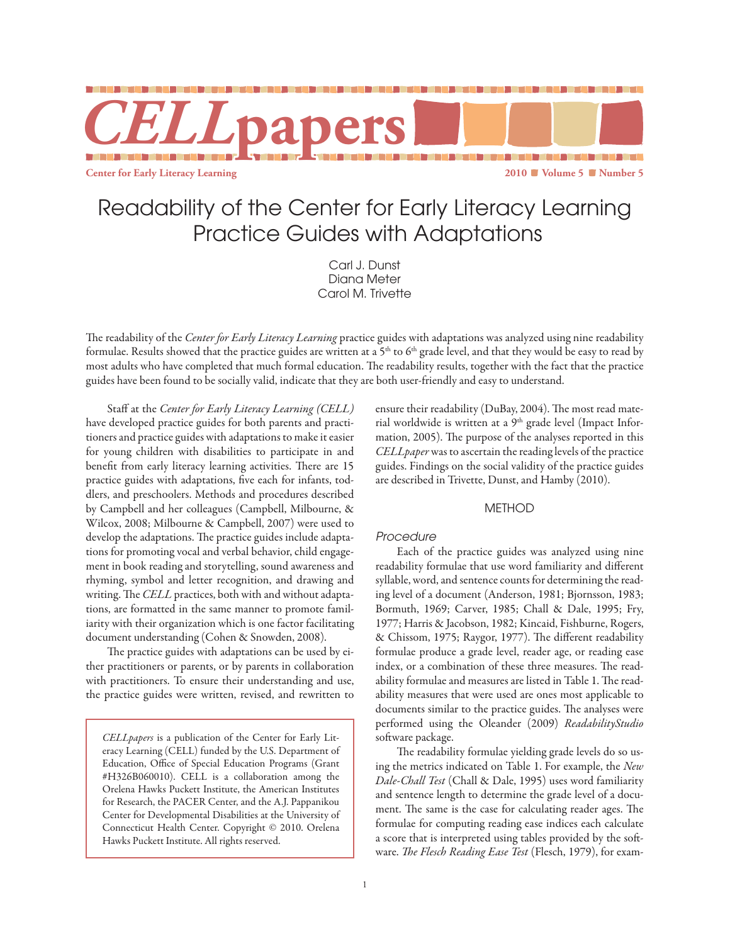

# Readability of the Center for Early Literacy Learning Practice Guides with Adaptations

Carl J. Dunst Diana Meter Carol M. Trivette

The readability of the *Center for Early Literacy Learning* practice guides with adaptations was analyzed using nine readability formulae. Results showed that the practice guides are written at a 5<sup>th</sup> to 6<sup>th</sup> grade level, and that they would be easy to read by most adults who have completed that much formal education. The readability results, together with the fact that the practice guides have been found to be socially valid, indicate that they are both user-friendly and easy to understand.

Staff at the *Center for Early Literacy Learning (CELL)* have developed practice guides for both parents and practitioners and practice guides with adaptations to make it easier for young children with disabilities to participate in and benefit from early literacy learning activities. There are 15 practice guides with adaptations, five each for infants, toddlers, and preschoolers. Methods and procedures described by Campbell and her colleagues (Campbell, Milbourne, & Wilcox, 2008; Milbourne & Campbell, 2007) were used to develop the adaptations. The practice guides include adaptations for promoting vocal and verbal behavior, child engagement in book reading and storytelling, sound awareness and rhyming, symbol and letter recognition, and drawing and writing. The *CELL* practices, both with and without adaptations, are formatted in the same manner to promote familiarity with their organization which is one factor facilitating document understanding (Cohen & Snowden, 2008).

The practice guides with adaptations can be used by either practitioners or parents, or by parents in collaboration with practitioners. To ensure their understanding and use, the practice guides were written, revised, and rewritten to

*CELLpapers* is a publication of the Center for Early Literacy Learning (CELL) funded by the U.S. Department of Education, Office of Special Education Programs (Grant #H326B060010). CELL is a collaboration among the Orelena Hawks Puckett Institute, the American Institutes for Research, the PACER Center, and the A.J. Pappanikou Center for Developmental Disabilities at the University of Connecticut Health Center. Copyright © 2010. Orelena Hawks Puckett Institute. All rights reserved.

ensure their readability (DuBay, 2004). The most read material worldwide is written at a  $9<sup>th</sup>$  grade level (Impact Information, 2005). The purpose of the analyses reported in this *CELLpaper* was to ascertain the reading levels of the practice guides. Findings on the social validity of the practice guides are described in Trivette, Dunst, and Hamby (2010).

# **METHOD**

# *Procedure*

Each of the practice guides was analyzed using nine readability formulae that use word familiarity and different syllable, word, and sentence counts for determining the reading level of a document (Anderson, 1981; Bjornsson, 1983; Bormuth, 1969; Carver, 1985; Chall & Dale, 1995; Fry, 1977; Harris & Jacobson, 1982; Kincaid, Fishburne, Rogers, & Chissom, 1975; Raygor, 1977). The different readability formulae produce a grade level, reader age, or reading ease index, or a combination of these three measures. The readability formulae and measures are listed in Table 1. The readability measures that were used are ones most applicable to documents similar to the practice guides. The analyses were performed using the Oleander (2009) *ReadabilityStudio* software package.

The readability formulae yielding grade levels do so using the metrics indicated on Table 1. For example, the *New Dale-Chall Test* (Chall & Dale, 1995) uses word familiarity and sentence length to determine the grade level of a document. The same is the case for calculating reader ages. The formulae for computing reading ease indices each calculate a score that is interpreted using tables provided by the software. *The Flesch Reading Ease Test* (Flesch, 1979), for exam-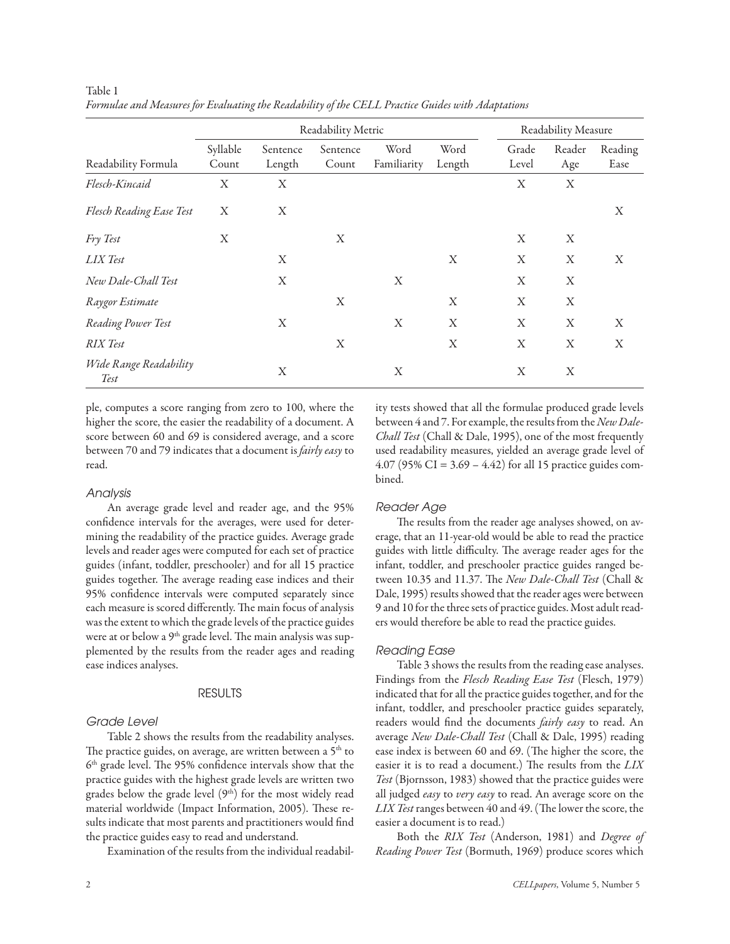|                                |                   | Readability Measure |                   |                     |                |                |               |                 |
|--------------------------------|-------------------|---------------------|-------------------|---------------------|----------------|----------------|---------------|-----------------|
| Readability Formula            | Syllable<br>Count | Sentence<br>Length  | Sentence<br>Count | Word<br>Familiarity | Word<br>Length | Grade<br>Level | Reader<br>Age | Reading<br>Ease |
| Flesch-Kincaid                 | X                 | X                   |                   |                     |                | X              | X             |                 |
| Flesch Reading Ease Test       | X                 | X                   |                   |                     |                |                |               | X               |
| Fry Test                       | X                 |                     | X                 |                     |                | X              | X             |                 |
| LIX Test                       |                   | X                   |                   |                     | X              | X              | X             | X               |
| New Dale-Chall Test            |                   | X                   |                   | X                   |                | X              | X             |                 |
| Raygor Estimate                |                   |                     | X                 |                     | X              | X              | X             |                 |
| Reading Power Test             |                   | X                   |                   | X                   | X              | X              | X             | X               |
| <b>RIX</b> Test                |                   |                     | X                 |                     | X              | X              | X             | X               |
| Wide Range Readability<br>Test |                   | X                   |                   | X                   |                | X              | X             |                 |

Table 1 *Formulae and Measures for Evaluating the Readability of the CELL Practice Guides with Adaptations*

ple, computes a score ranging from zero to 100, where the higher the score, the easier the readability of a document. A score between 60 and 69 is considered average, and a score between 70 and 79 indicates that a document is *fairly easy* to read.

#### *Analysis*

An average grade level and reader age, and the 95% confidence intervals for the averages, were used for determining the readability of the practice guides. Average grade levels and reader ages were computed for each set of practice guides (infant, toddler, preschooler) and for all 15 practice guides together. The average reading ease indices and their 95% confidence intervals were computed separately since each measure is scored differently. The main focus of analysis was the extent to which the grade levels of the practice guides were at or below a 9<sup>th</sup> grade level. The main analysis was supplemented by the results from the reader ages and reading ease indices analyses.

#### **RESULTS**

### *Grade Level*

Table 2 shows the results from the readability analyses. The practice guides, on average, are written between a 5<sup>th</sup> to 6th grade level. The 95% confidence intervals show that the practice guides with the highest grade levels are written two grades below the grade level (9th) for the most widely read material worldwide (Impact Information, 2005). These results indicate that most parents and practitioners would find the practice guides easy to read and understand.

Examination of the results from the individual readabil-

ity tests showed that all the formulae produced grade levels between 4 and 7. For example, the results from the *New Dale-Chall Test* (Chall & Dale, 1995), one of the most frequently used readability measures, yielded an average grade level of 4.07 (95% CI = 3.69 – 4.42) for all 15 practice guides combined.

#### *Reader Age*

The results from the reader age analyses showed, on average, that an 11-year-old would be able to read the practice guides with little difficulty. The average reader ages for the infant, toddler, and preschooler practice guides ranged between 10.35 and 11.37. The *New Dale-Chall Test* (Chall & Dale, 1995) results showed that the reader ages were between 9 and 10 for the three sets of practice guides. Most adult readers would therefore be able to read the practice guides.

#### *Reading Ease*

Table 3 shows the results from the reading ease analyses. Findings from the *Flesch Reading Ease Test* (Flesch, 1979) indicated that for all the practice guides together, and for the infant, toddler, and preschooler practice guides separately, readers would find the documents *fairly easy* to read. An average *New Dale-Chall Test* (Chall & Dale, 1995) reading ease index is between 60 and 69. (The higher the score, the easier it is to read a document.) The results from the *LIX Test* (Bjornsson, 1983) showed that the practice guides were all judged *easy* to *very easy* to read. An average score on the *LIX Test* ranges between 40 and 49. (The lower the score, the easier a document is to read.)

Both the *RIX Test* (Anderson, 1981) and *Degree of Reading Power Test* (Bormuth, 1969) produce scores which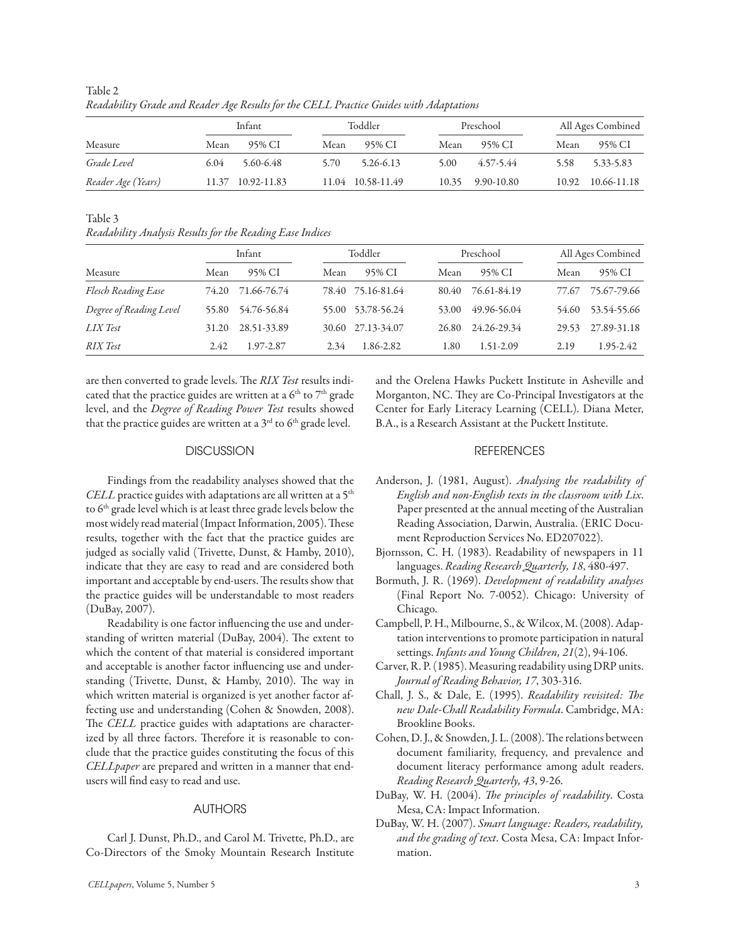|                    |      | Infant            |      | Toddler           |      | Preschool        |      | All Ages Combined |  |
|--------------------|------|-------------------|------|-------------------|------|------------------|------|-------------------|--|
| Measure            | Mean | 95% CI            | Mean | 95% CI            | Mean | 95% CI           | Mean | 95% CI            |  |
| Grade Level        | 6.04 | 5.60-6.48         | 5.70 | 5.26-6.13         | 5.00 | 4.57-5.44        | 5.58 | 5.33-5.83         |  |
| Reader Age (Years) |      | 11.37 10.92-11.83 |      | 11.04 10.58-11.49 |      | 10.35 9.90-10.80 |      | 10.92 10.66-11.18 |  |

Table 2 *Readability Grade and Reader Age Results for the CELL Practice Guides with Adaptations*

Table 3

*Readability Analysis Results for the Reading Ease Indices*

|                         |       | Infant            |      | Toddler           |       | Preschool   |       | All Ages Combined |  |
|-------------------------|-------|-------------------|------|-------------------|-------|-------------|-------|-------------------|--|
| Measure                 | Mean  | 95% CI            | Mean | 95% CI            | Mean  | 95% CI      | Mean  | 95% CI            |  |
| Flesch Reading Ease     |       | 74.20 71.66-76.74 |      | 78.40 75.16-81.64 | 80.40 | 76.61-84.19 |       | 77.67 75.67-79.66 |  |
| Degree of Reading Level | 55.80 | 54.76-56.84       |      | 55.00 53.78-56.24 | 53.00 | 49.96-56.04 |       | 54.60 53.54-55.66 |  |
| LIX Test                | 31.20 | 28.51-33.89       |      | 30.60 27.13-34.07 | 26.80 | 24.26-29.34 | 29.53 | 27.89-31.18       |  |
| <b>RIX</b> Test         | 2.42  | 1.97-2.87         | 2.34 | 1.86-2.82         | 1.80  | 1.51-2.09   | 2.19  | 1.95-2.42         |  |

are then converted to grade levels. The *RIX Test* results indicated that the practice guides are written at a  $6<sup>th</sup>$  to  $7<sup>th</sup>$  grade level, and the *Degree of Reading Power Test* results showed that the practice guides are written at a  $3^{\text{rd}}$  to  $6^{\text{th}}$  grade level.

## **DISCUSSION**

Findings from the readability analyses showed that the *CELL* practice guides with adaptations are all written at a 5<sup>th</sup> to 6<sup>th</sup> grade level which is at least three grade levels below the most widely read material (Impact Information, 2005). These results, together with the fact that the practice guides are judged as socially valid (Trivette, Dunst, & Hamby, 2010), indicate that they are easy to read and are considered both important and acceptable by end-users. The results show that the practice guides will be understandable to most readers (DuBay, 2007).

Readability is one factor influencing the use and understanding of written material (DuBay, 2004). The extent to which the content of that material is considered important and acceptable is another factor influencing use and understanding (Trivette, Dunst, & Hamby, 2010). The way in which written material is organized is yet another factor affecting use and understanding (Cohen & Snowden, 2008). The *CELL* practice guides with adaptations are characterized by all three factors. Therefore it is reasonable to conclude that the practice guides constituting the focus of this *CELLpaper* are prepared and written in a manner that endusers will find easy to read and use.

# AUTHORS

Carl J. Dunst, Ph.D., and Carol M. Trivette, Ph.D., are Co-Directors of the Smoky Mountain Research Institute and the Orelena Hawks Puckett Institute in Asheville and Morganton, NC. They are Co-Principal Investigators at the Center for Early Literacy Learning (CELL). Diana Meter, B.A., is a Research Assistant at the Puckett Institute.

# **REFERENCES**

- Anderson, J. (1981, August). *Analysing the readability of English and non-English texts in the classroom with Lix*. Paper presented at the annual meeting of the Australian Reading Association, Darwin, Australia. (ERIC Document Reproduction Services No. ED207022).
- Bjornsson, C. H. (1983). Readability of newspapers in 11 languages. *Reading Research Quarterly, 18*, 480-497.
- Bormuth, J. R. (1969). *Development of readability analyses* (Final Report No. 7-0052). Chicago: University of Chicago.
- Campbell, P. H., Milbourne, S., & Wilcox, M. (2008). Adaptation interventions to promote participation in natural settings. *Infants and Young Children, 21*(2), 94-106.
- Carver, R. P. (1985). Measuring readability using DRP units. *Journal of Reading Behavior, 17*, 303-316.
- Chall, J. S., & Dale, E. (1995). *Readability revisited: The new Dale-Chall Readability Formula*. Cambridge, MA: Brookline Books.
- Cohen, D. J., & Snowden, J. L. (2008). The relations between document familiarity, frequency, and prevalence and document literacy performance among adult readers. *Reading Research Quarterly, 43*, 9-26.
- DuBay, W. H. (2004). *The principles of readability*. Costa Mesa, CA: Impact Information.
- DuBay, W. H. (2007). *Smart language: Readers, readability, and the grading of text*. Costa Mesa, CA: Impact Information.